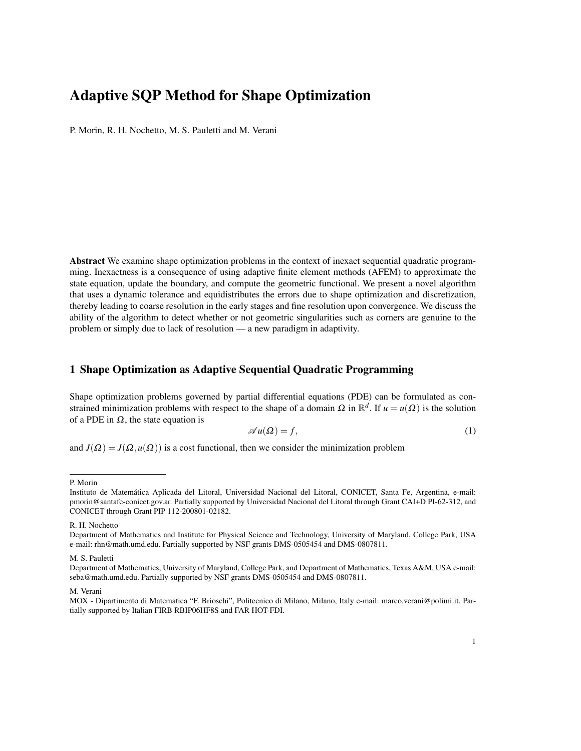P. Morin, R. H. Nochetto, M. S. Pauletti and M. Verani

Abstract We examine shape optimization problems in the context of inexact sequential quadratic programming. Inexactness is a consequence of using adaptive finite element methods (AFEM) to approximate the state equation, update the boundary, and compute the geometric functional. We present a novel algorithm that uses a dynamic tolerance and equidistributes the errors due to shape optimization and discretization, thereby leading to coarse resolution in the early stages and fine resolution upon convergence. We discuss the ability of the algorithm to detect whether or not geometric singularities such as corners are genuine to the problem or simply due to lack of resolution — a new paradigm in adaptivity.

## 1 Shape Optimization as Adaptive Sequential Quadratic Programming

Shape optimization problems governed by partial differential equations (PDE) can be formulated as constrained minimization problems with respect to the shape of a domain  $\Omega$  in  $\mathbb{R}^d$ . If  $u = u(\Omega)$  is the solution of a PDE in  $\Omega$ , the state equation is

$$
\mathscr{A}u(\Omega) = f,\tag{1}
$$

and  $J(\Omega) = J(\Omega, u(\Omega))$  is a cost functional, then we consider the minimization problem

P. Morin

Instituto de Matematica Aplicada del Litoral, Universidad Nacional del Litoral, CONICET, Santa Fe, Argentina, e-mail: ´ pmorin@santafe-conicet.gov.ar. Partially supported by Universidad Nacional del Litoral through Grant CAI+D PI-62-312, and CONICET through Grant PIP 112-200801-02182.

R. H. Nochetto

Department of Mathematics and Institute for Physical Science and Technology, University of Maryland, College Park, USA e-mail: rhn@math.umd.edu. Partially supported by NSF grants DMS-0505454 and DMS-0807811.

M. S. Pauletti

Department of Mathematics, University of Maryland, College Park, and Department of Mathematics, Texas A&M, USA e-mail: seba@math.umd.edu. Partially supported by NSF grants DMS-0505454 and DMS-0807811.

M. Verani

MOX - Dipartimento di Matematica "F. Brioschi", Politecnico di Milano, Milano, Italy e-mail: marco.verani@polimi.it. Partially supported by Italian FIRB RBIP06HF8S and FAR HOT-FDI.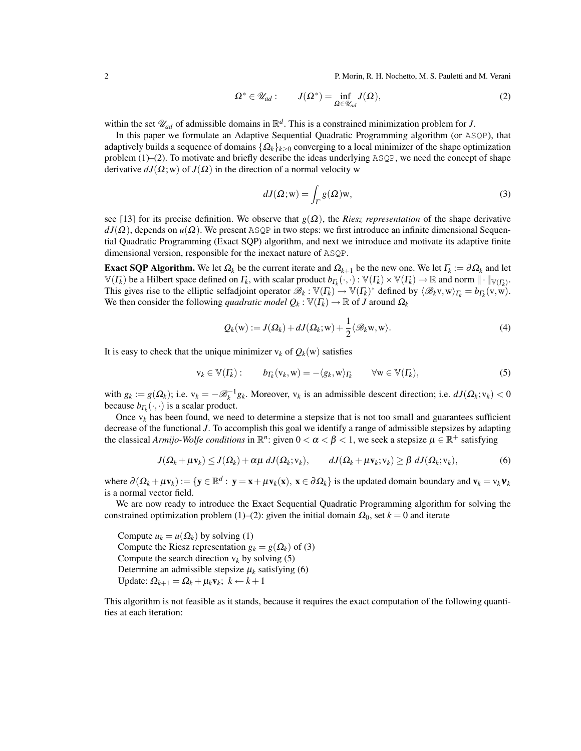2 **P. Morin, R. H. Nochetto, M. S. Pauletti and M. Verani** 

$$
\Omega^* \in \mathscr{U}_{ad} : \qquad J(\Omega^*) = \inf_{\Omega \in \mathscr{U}_{ad}} J(\Omega), \tag{2}
$$

within the set  $\mathcal{U}_{ad}$  of admissible domains in  $\mathbb{R}^d$ . This is a constrained minimization problem for *J*.

In this paper we formulate an Adaptive Sequential Quadratic Programming algorithm (or ASQP), that adaptively builds a sequence of domains {Ω*k*}*k*≥<sup>0</sup> converging to a local minimizer of the shape optimization problem (1)–(2). To motivate and briefly describe the ideas underlying ASQP, we need the concept of shape derivative  $dJ(\Omega; w)$  of  $J(\Omega)$  in the direction of a normal velocity w

$$
dJ(\Omega; \mathbf{w}) = \int_{\Gamma} g(\Omega) \mathbf{w},\tag{3}
$$

see [13] for its precise definition. We observe that  $g(\Omega)$ , the *Riesz representation* of the shape derivative  $dJ(\Omega)$ , depends on  $u(\Omega)$ . We present ASQP in two steps: we first introduce an infinite dimensional Sequential Quadratic Programming (Exact SQP) algorithm, and next we introduce and motivate its adaptive finite dimensional version, responsible for the inexact nature of ASQP.

Exact SQP Algorithm. We let  $\Omega_k$  be the current iterate and  $\Omega_{k+1}$  be the new one. We let  $\Gamma_k := \partial \Omega_k$  and let  $\mathbb{V}(T_k)$  be a Hilbert space defined on  $\Gamma_k$ , with scalar product  $b_{\Gamma_k}(\cdot,\cdot): \mathbb{V}(T_k) \times \mathbb{V}(T_k) \to \mathbb{R}$  and norm  $\|\cdot\|_{\mathbb{V}(T_k)}$ . This gives rise to the elliptic selfadjoint operator  $\mathscr{B}_k : \mathbb{V}(F_k) \to \mathbb{V}(F_k)^*$  defined by  $\langle \mathscr{B}_k v, w \rangle_{F_k} = b_{F_k}(v, w)$ . We then consider the following *quadratic model*  $Q_k : \mathbb{V}(F_k) \to \mathbb{R}$  of *J* around  $\Omega_k$ 

$$
Q_k(\mathbf{w}) := J(\Omega_k) + dJ(\Omega_k; \mathbf{w}) + \frac{1}{2} \langle \mathcal{B}_k \mathbf{w}, \mathbf{w} \rangle.
$$
 (4)

It is easy to check that the unique minimizer  $v_k$  of  $Q_k(w)$  satisfies

$$
\mathbf{v}_k \in \mathbb{V}(\Gamma_k): \qquad b_{\Gamma_k}(\mathbf{v}_k, \mathbf{w}) = -\langle g_k, \mathbf{w} \rangle_{\Gamma_k} \qquad \forall \mathbf{w} \in \mathbb{V}(\Gamma_k), \tag{5}
$$

with  $g_k := g(\Omega_k)$ ; i.e.  $v_k = -\mathcal{B}_k^{-1}g_k$ . Moreover,  $v_k$  is an admissible descent direction; i.e.  $dJ(\Omega_k; v_k) < 0$ because  $b_{\Gamma_k}(\cdot,\cdot)$  is a scalar product.

Once  $v_k$  has been found, we need to determine a stepsize that is not too small and guarantees sufficient decrease of the functional *J*. To accomplish this goal we identify a range of admissible stepsizes by adapting the classical *Armijo-Wolfe conditions* in  $\mathbb{R}^n$ : given  $0 < \alpha < \beta < 1$ , we seek a stepsize  $\mu \in \mathbb{R}^+$  satisfying

$$
J(\Omega_k + \mu \mathbf{v}_k) \leq J(\Omega_k) + \alpha \mu \ dJ(\Omega_k; \mathbf{v}_k), \qquad dJ(\Omega_k + \mu \mathbf{v}_k; \mathbf{v}_k) \geq \beta \ dJ(\Omega_k; \mathbf{v}_k), \tag{6}
$$

where  $\partial(\Omega_k + \mu v_k) := \{y \in \mathbb{R}^d : y = x + \mu v_k(x), x \in \partial \Omega_k\}$  is the updated domain boundary and  $v_k = v_k v_k$ is a normal vector field.

We are now ready to introduce the Exact Sequential Quadratic Programming algorithm for solving the constrained optimization problem (1)–(2): given the initial domain  $\Omega_0$ , set  $k = 0$  and iterate

Compute  $u_k = u(\Omega_k)$  by solving (1) Compute the Riesz representation  $g_k = g(\Omega_k)$  of (3) Compute the search direction  $v_k$  by solving (5) Determine an admissible stepsize  $\mu_k$  satisfying (6) Update:  $\Omega_{k+1} = \Omega_k + \mu_k \mathbf{v}_k$ ;  $k \leftarrow k+1$ 

This algorithm is not feasible as it stands, because it requires the exact computation of the following quantities at each iteration: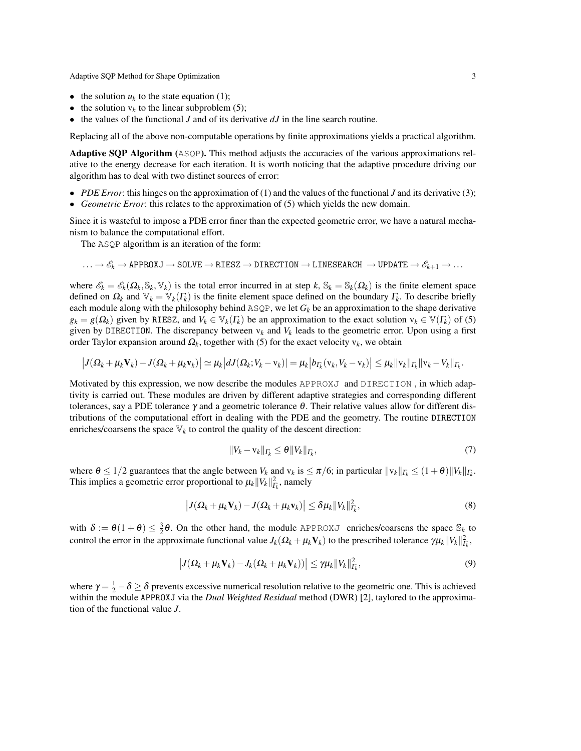- the solution  $u_k$  to the state equation (1);
- the solution  $v_k$  to the linear subproblem (5);
- the values of the functional *J* and of its derivative *dJ* in the line search routine.

Replacing all of the above non-computable operations by finite approximations yields a practical algorithm.

Adaptive SQP Algorithm (ASQP). This method adjusts the accuracies of the various approximations relative to the energy decrease for each iteration. It is worth noticing that the adaptive procedure driving our algorithm has to deal with two distinct sources of error:

- *PDE Error*: this hinges on the approximation of (1) and the values of the functional *J* and its derivative (3);
- *Geometric Error*: this relates to the approximation of (5) which yields the new domain.

Since it is wasteful to impose a PDE error finer than the expected geometric error, we have a natural mechanism to balance the computational effort.

The ASQP algorithm is an iteration of the form:

$$
\ldots \to \mathscr{E}_k \to \text{APPROXJ} \to \text{SOLVE} \to \text{RIESZ} \to \text{DIRECTION} \to \text{LINESEARCH} \to \text{UPDATE} \to \mathscr{E}_{k+1} \to \ldots
$$

where  $\mathscr{E}_k = \mathscr{E}_k(\Omega_k, \mathbb{S}_k, \mathbb{V}_k)$  is the total error incurred in at step  $k, \mathbb{S}_k = \mathbb{S}_k(\Omega_k)$  is the finite element space defined on  $\Omega_k$  and  $\mathbb{V}_k = \mathbb{V}_k(\Gamma_k)$  is the finite element space defined on the boundary  $\Gamma_k$ . To describe briefly each module along with the philosophy behind  $ASQP$ , we let  $G_k$  be an approximation to the shape derivative  $g_k = g(\Omega_k)$  given by RIESZ, and  $V_k \in \mathbb{V}_k(\Gamma_k)$  be an approximation to the exact solution  $v_k \in \mathbb{V}(\Gamma_k)$  of (5) given by DIRECTION. The discrepancy between  $v_k$  and  $V_k$  leads to the geometric error. Upon using a first order Taylor expansion around  $\Omega_k$ , together with (5) for the exact velocity  $v_k$ , we obtain

$$
\big|J(\Omega_k+\mu_k\mathbf{V}_k)-J(\Omega_k+\mu_k\mathbf{v}_k)\big|\simeq \mu_k\big|dJ(\Omega_k;V_k-\mathbf{v}_k)\big|=\mu_k\big|b_{\Gamma_k}(\mathbf{v}_k,V_k-\mathbf{v}_k)\big|\leq \mu_k\|\mathbf{v}_k\|_{\Gamma_k}\|\mathbf{v}_k-V_k\|_{\Gamma_k}.
$$

Motivated by this expression, we now describe the modules APPROXJ and DIRECTION , in which adaptivity is carried out. These modules are driven by different adaptive strategies and corresponding different tolerances, say a PDE tolerance γ and a geometric tolerance  $θ$ . Their relative values allow for different distributions of the computational effort in dealing with the PDE and the geometry. The routine DIRECTION enriches/coarsens the space  $\mathbb{V}_k$  to control the quality of the descent direction:

$$
||V_k - V_k||_{\Gamma_k} \leq \theta ||V_k||_{\Gamma_k},\tag{7}
$$

where  $\theta \leq 1/2$  guarantees that the angle between  $V_k$  and  $v_k$  is  $\leq \pi/6$ ; in particular  $||v_k||_{\Gamma_k} \leq (1+\theta)||V_k||_{\Gamma_k}$ . This implies a geometric error proportional to  $\mu_k ||V_k||^2_{\Gamma_k}$ , namely

$$
\left|J(\Omega_k + \mu_k \mathbf{V}_k) - J(\Omega_k + \mu_k \mathbf{v}_k)\right| \leq \delta \mu_k \|V_k\|_{I_k}^2,
$$
\n(8)

with  $\delta := \theta(1+\theta) \leq \frac{3}{2}\theta$ . On the other hand, the module APPROXJ enriches/coarsens the space  $\mathbb{S}_k$  to control the error in the approximate functional value  $J_k(\Omega_k + \mu_k \mathbf{V}_k)$  to the prescribed tolerance  $\gamma \mu_k ||V_k||_{I_k}^2$ ,

$$
\left|J(\Omega_k + \mu_k \mathbf{V}_k) - J_k(\Omega_k + \mu_k \mathbf{V}_k))\right| \leq \gamma \mu_k \|V_k\|_{\Gamma_k}^2,
$$
\n(9)

where  $\gamma = \frac{1}{2} - \delta \ge \delta$  prevents excessive numerical resolution relative to the geometric one. This is achieved within the module APPROXJ via the *Dual Weighted Residual* method (DWR) [2], taylored to the approximation of the functional value *J*.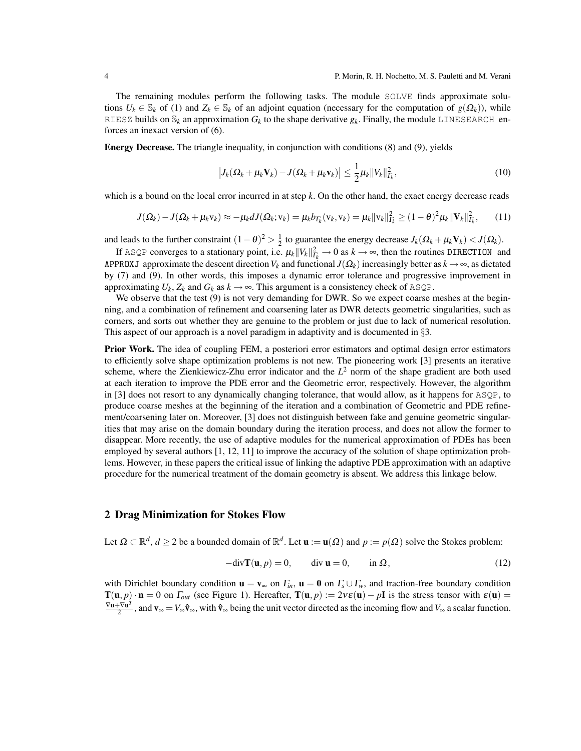The remaining modules perform the following tasks. The module SOLVE finds approximate solutions  $U_k \in \mathbb{S}_k$  of (1) and  $Z_k \in \mathbb{S}_k$  of an adjoint equation (necessary for the computation of  $g(\Omega_k)$ ), while RIESZ builds on  $\mathbb{S}_k$  an approximation  $G_k$  to the shape derivative  $g_k$ . Finally, the module LINESEARCH enforces an inexact version of (6).

Energy Decrease. The triangle inequality, in conjunction with conditions (8) and (9), yields

$$
\left|J_k(\Omega_k + \mu_k \mathbf{V}_k) - J(\Omega_k + \mu_k \mathbf{v}_k)\right| \leq \frac{1}{2} \mu_k \|V_k\|_{\Gamma_k}^2,
$$
\n(10)

which is a bound on the local error incurred in at step *k*. On the other hand, the exact energy decrease reads

$$
J(\Omega_k) - J(\Omega_k + \mu_k \mathbf{v}_k) \approx -\mu_k dJ(\Omega_k; \mathbf{v}_k) = \mu_k b_{\Gamma_k}(\mathbf{v}_k, \mathbf{v}_k) = \mu_k ||\mathbf{v}_k||_{\Gamma_k}^2 \ge (1 - \theta)^2 \mu_k ||\mathbf{V}_k||_{\Gamma_k}^2, \tag{11}
$$

and leads to the further constraint  $(1 - \theta)^2 > \frac{1}{2}$  to guarantee the energy decrease  $J_k(\Omega_k + \mu_k \mathbf{V}_k) < J(\Omega_k)$ .

If ASQP converges to a stationary point, i.e.  $\mu_k ||V_k||^2_{\overline{k}} \to 0$  as  $k \to \infty$ , then the routines DIRECTION and APPROXJ approximate the descent direction  $V_k$  and functional  $J(\Omega_k)$  increasingly better as  $k \to \infty$ , as dictated by (7) and (9). In other words, this imposes a dynamic error tolerance and progressive improvement in approximating  $U_k$ ,  $Z_k$  and  $G_k$  as  $k \to \infty$ . This argument is a consistency check of ASQP.

We observe that the test (9) is not very demanding for DWR. So we expect coarse meshes at the beginning, and a combination of refinement and coarsening later as DWR detects geometric singularities, such as corners, and sorts out whether they are genuine to the problem or just due to lack of numerical resolution. This aspect of our approach is a novel paradigm in adaptivity and is documented in  $\S3$ .

Prior Work. The idea of coupling FEM, a posteriori error estimators and optimal design error estimators to efficiently solve shape optimization problems is not new. The pioneering work [3] presents an iterative scheme, where the Zienkiewicz-Zhu error indicator and the  $L^2$  norm of the shape gradient are both used at each iteration to improve the PDE error and the Geometric error, respectively. However, the algorithm in [3] does not resort to any dynamically changing tolerance, that would allow, as it happens for ASQP, to produce coarse meshes at the beginning of the iteration and a combination of Geometric and PDE refinement/coarsening later on. Moreover, [3] does not distinguish between fake and genuine geometric singularities that may arise on the domain boundary during the iteration process, and does not allow the former to disappear. More recently, the use of adaptive modules for the numerical approximation of PDEs has been employed by several authors [1, 12, 11] to improve the accuracy of the solution of shape optimization problems. However, in these papers the critical issue of linking the adaptive PDE approximation with an adaptive procedure for the numerical treatment of the domain geometry is absent. We address this linkage below.

#### 2 Drag Minimization for Stokes Flow

Let  $\Omega \subset \mathbb{R}^d$ ,  $d \ge 2$  be a bounded domain of  $\mathbb{R}^d$ . Let  $\mathbf{u} := \mathbf{u}(\Omega)$  and  $p := p(\Omega)$  solve the Stokes problem:

$$
-div\mathbf{T}(\mathbf{u},p) = 0, \qquad \text{div } \mathbf{u} = 0, \qquad \text{in } \Omega,
$$
 (12)

with Dirichlet boundary condition  $\mathbf{u} = \mathbf{v}_{\infty}$  on  $\Gamma_{in}$ ,  $\mathbf{u} = \mathbf{0}$  on  $\Gamma_{s} \cup \Gamma_{w}$ , and traction-free boundary condition  $T(u, p) \cdot n = 0$  on  $\Gamma_{out}$  (see Figure 1). Hereafter,  $T(u, p) := 2v\epsilon(u) - pI$  is the stress tensor with  $\epsilon(u) =$ ∇u+∇u *T*  $\frac{V\mathbf{u}'}{2}$ , and  $\mathbf{v}_{\infty} = V_{\infty} \hat{\mathbf{v}}_{\infty}$ , with  $\hat{\mathbf{v}}_{\infty}$  being the unit vector directed as the incoming flow and  $V_{\infty}$  a scalar function.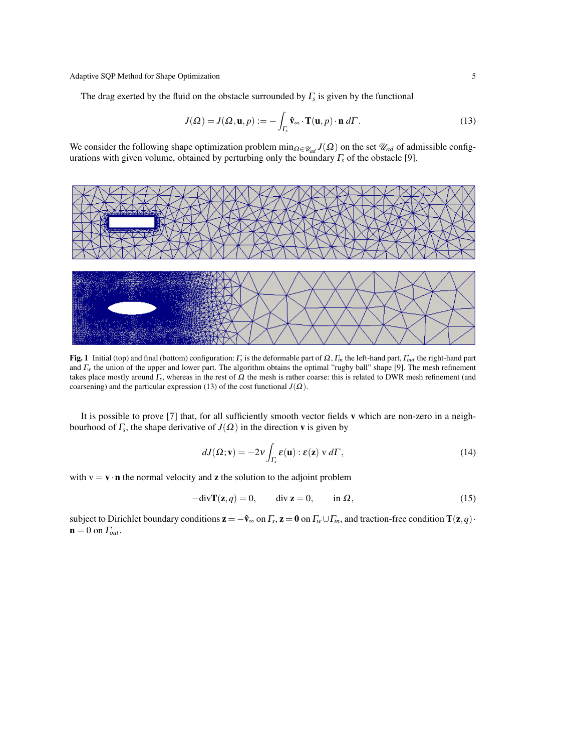The drag exerted by the fluid on the obstacle surrounded by  $\Gamma_s$  is given by the functional

$$
J(\Omega) = J(\Omega, \mathbf{u}, p) := -\int_{\Gamma_{\mathbf{s}}} \hat{\mathbf{v}}_{\infty} \cdot \mathbf{T}(\mathbf{u}, p) \cdot \mathbf{n} \, d\Gamma. \tag{13}
$$

We consider the following shape optimization problem min<sub> $\Omega \in \mathcal{U}_{ad}$ </sub> *J*( $\Omega$ ) on the set  $\mathcal{U}_{ad}$  of admissible configurations with given volume, obtained by perturbing only the boundary Γ*<sup>s</sup>* of the obstacle [9].



**Fig. 1** Initial (top) and final (bottom) configuration:  $\Gamma_s$  is the deformable part of Ω,  $\Gamma_{in}$  the left-hand part,  $\Gamma_{out}$  the right-hand part and Γ*<sup>w</sup>* the union of the upper and lower part. The algorithm obtains the optimal "rugby ball" shape [9]. The mesh refinement takes place mostly around  $\Gamma_s$ , whereas in the rest of  $\Omega$  the mesh is rather coarse: this is related to DWR mesh refinement (and coarsening) and the particular expression (13) of the cost functional  $J(\Omega)$ .

It is possible to prove [7] that, for all sufficiently smooth vector fields v which are non-zero in a neighbourhood of  $\Gamma_s$ , the shape derivative of  $J(\Omega)$  in the direction **v** is given by

$$
dJ(\Omega; \mathbf{v}) = -2\nu \int_{\Gamma_{\mathbf{s}}} \varepsilon(\mathbf{u}) : \varepsilon(\mathbf{z}) \vee d\Gamma,
$$
 (14)

with  $v = v \cdot n$  the normal velocity and **z** the solution to the adjoint problem

$$
-div\mathbf{T}(\mathbf{z},q) = 0, \qquad \text{div } \mathbf{z} = 0, \qquad \text{in } \Omega,
$$
 (15)

subject to Dirichlet boundary conditions  $z = -\hat{v}_{\infty}$  on  $\Gamma_s$ ,  $z = 0$  on  $\Gamma_w \cup \Gamma_{in}$ , and traction-free condition  $T(z, q)$ .  $\mathbf{n} = 0$  on  $\Gamma_{out}$ .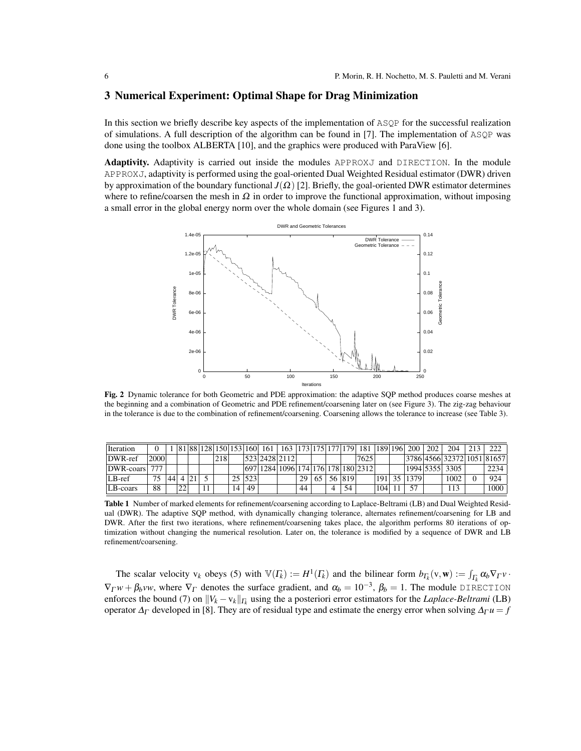## 3 Numerical Experiment: Optimal Shape for Drag Minimization

In this section we briefly describe key aspects of the implementation of ASQP for the successful realization of simulations. A full description of the algorithm can be found in [7]. The implementation of ASQP was done using the toolbox ALBERTA [10], and the graphics were produced with ParaView [6].

Adaptivity. Adaptivity is carried out inside the modules APPROXJ and DIRECTION. In the module APPROXJ, adaptivity is performed using the goal-oriented Dual Weighted Residual estimator (DWR) driven by approximation of the boundary functional  $J(\Omega)$  [2]. Briefly, the goal-oriented DWR estimator determines where to refine/coarsen the mesh in  $\Omega$  in order to improve the functional approximation, without imposing a small error in the global energy norm over the whole domain (see Figures 1 and 3).



Fig. 2 Dynamic tolerance for both Geometric and PDE approximation: the adaptive SQP method produces coarse meshes at the beginning and a combination of Geometric and PDE refinement/coarsening later on (see Figure 3). The zig-zag behaviour in the tolerance is due to the combination of refinement/coarsening. Coarsening allows the tolerance to increase (see Table 3).

| <b>Iteration</b> |      |    |    |  |      |    |      | 81  88  128  150  153  160  161 | 163   173   175   177   179   181  |    |  |        |      | 189   196        | 200  | 202 | 204                        |      |
|------------------|------|----|----|--|------|----|------|---------------------------------|------------------------------------|----|--|--------|------|------------------|------|-----|----------------------------|------|
| $DWR$ -ref       | 2000 |    |    |  | 2181 |    |      |                                 | 523 2428 2112                      |    |  |        | 7625 |                  |      |     | 3786 4566 32372 1051 81657 |      |
| DWR-coars        |      |    |    |  |      |    |      |                                 | 697 1284 1096 174 176 178 180 2312 |    |  |        |      |                  |      |     | 1994 5355  3305            | 2234 |
| LB-ref           | 75   | 44 |    |  |      | 25 | 1523 |                                 |                                    | 29 |  | 56 819 |      | 191 <sup>1</sup> | 1379 |     | 1002                       | 924  |
| LB-coars         | 88   |    | 22 |  |      | 14 | 49   |                                 |                                    | 44 |  | 54     |      | 104              | 57   |     | . 13                       | 1000 |

Table 1 Number of marked elements for refinement/coarsening according to Laplace-Beltrami (LB) and Dual Weighted Residual (DWR). The adaptive SQP method, with dynamically changing tolerance, alternates refinement/coarsening for LB and DWR. After the first two iterations, where refinement/coarsening takes place, the algorithm performs 80 iterations of optimization without changing the numerical resolution. Later on, the tolerance is modified by a sequence of DWR and LB refinement/coarsening.

The scalar velocity  $v_k$  obeys (5) with  $\mathbb{V}(F_k) := H^1(F_k)$  and the bilinear form  $b_{\Gamma_k}(v, \mathbf{w}) := \int_{F_k} \alpha_k \nabla_{\Gamma} v \cdot$  $\nabla_{\Gamma} w + \beta_b v w$ , where  $\nabla_{\Gamma}$  denotes the surface gradient, and  $\alpha_b = 10^{-3}$ ,  $\beta_b = 1$ . The module DIRECTION enforces the bound (7) on  $||V_k - v_k||_{\Gamma_k}$  using the a posteriori error estimators for the *Laplace-Beltrami* (LB) operator  $\Delta_{\Gamma}$  developed in [8]. They are of residual type and estimate the energy error when solving  $\Delta_{\Gamma} u = f$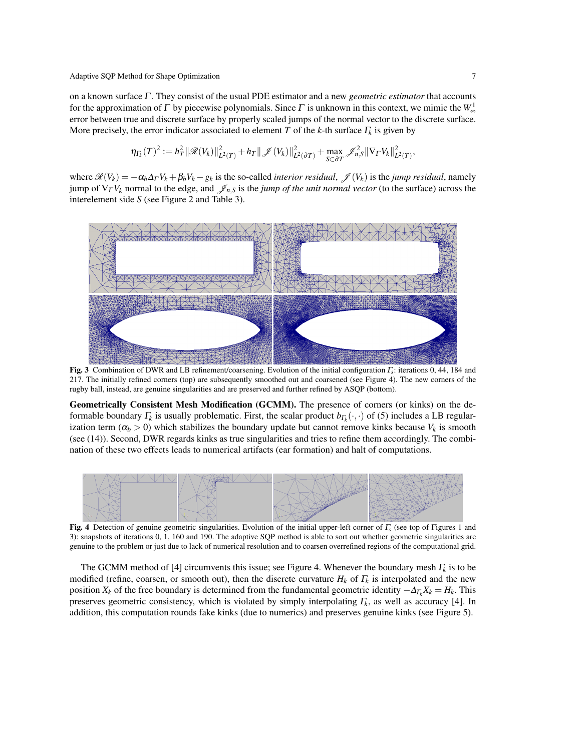on a known surface Γ . They consist of the usual PDE estimator and a new *geometric estimator* that accounts for the approximation of  $\Gamma$  by piecewise polynomials. Since  $\Gamma$  is unknown in this context, we mimic the  $W^1_{\infty}$ error between true and discrete surface by properly scaled jumps of the normal vector to the discrete surface. More precisely, the error indicator associated to element *T* of the *k*-th surface Γ*<sup>k</sup>* is given by

$$
\eta_{\Gamma_k}(T)^2 := h_T^2 \|\mathscr{R}(V_k)\|_{L^2(T)}^2 + h_T \|\mathscr{J}(V_k)\|_{L^2(\partial T)}^2 + \max_{S \subset \partial T} \mathscr{J}_{n,S}^2 \|\nabla_{\Gamma} V_k\|_{L^2(T)}^2,
$$

where  $\mathscr{R}(V_k) = -\alpha_b \Delta_\Gamma V_k + \beta_b V_k - g_k$  is the so-called *interior residual*,  $\mathscr{J}(V_k)$  is the *jump residual*, namely jump of  $\nabla_{\Gamma} V_k$  normal to the edge, and  $\mathscr{J}_{n,s}$  is the *jump of the unit normal vector* (to the surface) across the interelement side *S* (see Figure 2 and Table 3).



Fig. 3 Combination of DWR and LB refinement/coarsening. Evolution of the initial configuration Γ*<sup>s</sup>* : iterations 0, 44, 184 and 217. The initially refined corners (top) are subsequently smoothed out and coarsened (see Figure 4). The new corners of the rugby ball, instead, are genuine singularities and are preserved and further refined by ASQP (bottom).

Geometrically Consistent Mesh Modification (GCMM). The presence of corners (or kinks) on the deformable boundary  $\Gamma_k$  is usually problematic. First, the scalar product  $b_{\Gamma_k}(\cdot,\cdot)$  of (5) includes a LB regularization term ( $\alpha_b > 0$ ) which stabilizes the boundary update but cannot remove kinks because  $V_k$  is smooth (see (14)). Second, DWR regards kinks as true singularities and tries to refine them accordingly. The combination of these two effects leads to numerical artifacts (ear formation) and halt of computations.



Fig. 4 Detection of genuine geometric singularities. Evolution of the initial upper-left corner of Γ*<sup>s</sup>* (see top of Figures 1 and 3): snapshots of iterations 0, 1, 160 and 190. The adaptive SQP method is able to sort out whether geometric singularities are genuine to the problem or just due to lack of numerical resolution and to coarsen overrefined regions of the computational grid.

The GCMM method of [4] circumvents this issue; see Figure 4. Whenever the boundary mesh  $\Gamma_k$  is to be modified (refine, coarsen, or smooth out), then the discrete curvature  $H_k$  of  $\Gamma_k$  is interpolated and the new position  $X_k$  of the free boundary is determined from the fundamental geometric identity  $-\Delta_{\Gamma_k} X_k = H_k$ . This preserves geometric consistency, which is violated by simply interpolating Γ*<sup>k</sup>* , as well as accuracy [4]. In addition, this computation rounds fake kinks (due to numerics) and preserves genuine kinks (see Figure 5).